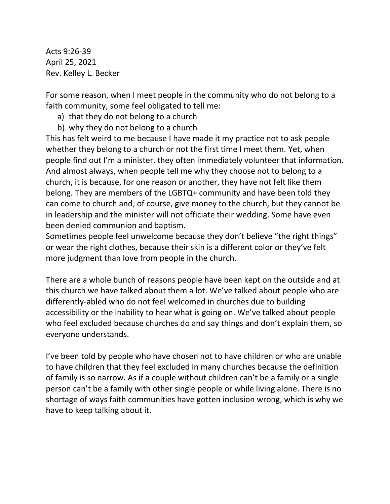Acts 9:26-39 April 25, 2021 Rev. Kelley L. Becker

For some reason, when I meet people in the community who do not belong to a faith community, some feel obligated to tell me:

- a) that they do not belong to a church
- b) why they do not belong to a church

This has felt weird to me because I have made it my practice not to ask people whether they belong to a church or not the first time I meet them. Yet, when people find out I'm a minister, they often immediately volunteer that information. And almost always, when people tell me why they choose not to belong to a church, it is because, for one reason or another, they have not felt like them belong. They are members of the LGBTQ+ community and have been told they can come to church and, of course, give money to the church, but they cannot be in leadership and the minister will not officiate their wedding. Some have even been denied communion and baptism.

Sometimes people feel unwelcome because they don't believe "the right things" or wear the right clothes, because their skin is a different color or they've felt more judgment than love from people in the church.

There are a whole bunch of reasons people have been kept on the outside and at this church we have talked about them a lot. We've talked about people who are differently-abled who do not feel welcomed in churches due to building accessibility or the inability to hear what is going on. We've talked about people who feel excluded because churches do and say things and don't explain them, so everyone understands.

I've been told by people who have chosen not to have children or who are unable to have children that they feel excluded in many churches because the definition of family is so narrow. As if a couple without children can't be a family or a single person can't be a family with other single people or while living alone. There is no shortage of ways faith communities have gotten inclusion wrong, which is why we have to keep talking about it.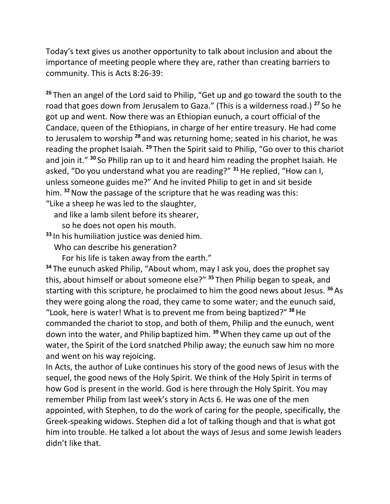Today's text gives us another opportunity to talk about inclusion and about the importance of meeting people where they are, rather than creating barriers to community. This is Acts 8:26-39:

**<sup>26</sup>** Then an angel of the Lord said to Philip, "Get up and go toward the south to the road that goes down from Jerusalem to Gaza." (This is a wilderness road.) **<sup>27</sup>** So he got up and went. Now there was an Ethiopian eunuch, a court official of the Candace, queen of the Ethiopians, in charge of her entire treasury. He had come to Jerusalem to worship **<sup>28</sup>** and was returning home; seated in his chariot, he was reading the prophet Isaiah. **<sup>29</sup>** Then the Spirit said to Philip, "Go over to this chariot and join it." **<sup>30</sup>** So Philip ran up to it and heard him reading the prophet Isaiah. He asked, "Do you understand what you are reading?" **<sup>31</sup>**He replied, "How can I, unless someone guides me?" And he invited Philip to get in and sit beside him. **<sup>32</sup>**Now the passage of the scripture that he was reading was this: "Like a sheep he was led to the slaughter,

and like a lamb silent before its shearer,

so he does not open his mouth.

**<sup>33</sup>** In his humiliation justice was denied him.

Who can describe his generation?

For his life is taken away from the earth."

**<sup>34</sup>** The eunuch asked Philip, "About whom, may I ask you, does the prophet say this, about himself or about someone else?" **<sup>35</sup>** Then Philip began to speak, and starting with this scripture, he proclaimed to him the good news about Jesus. **<sup>36</sup>** As they were going along the road, they came to some water; and the eunuch said, "Look, here is water! What is to prevent me from being baptized?" **<sup>38</sup>**He commanded the chariot to stop, and both of them, Philip and the eunuch, went down into the water, and Philip baptized him. **<sup>39</sup>**When they came up out of the water, the Spirit of the Lord snatched Philip away; the eunuch saw him no more and went on his way rejoicing.

In Acts, the author of Luke continues his story of the good news of Jesus with the sequel, the good news of the Holy Spirit. We think of the Holy Spirit in terms of how God is present in the world. God is here through the Holy Spirit. You may remember Philip from last week's story in Acts 6. He was one of the men appointed, with Stephen, to do the work of caring for the people, specifically, the Greek-speaking widows. Stephen did a lot of talking though and that is what got him into trouble. He talked a lot about the ways of Jesus and some Jewish leaders didn't like that.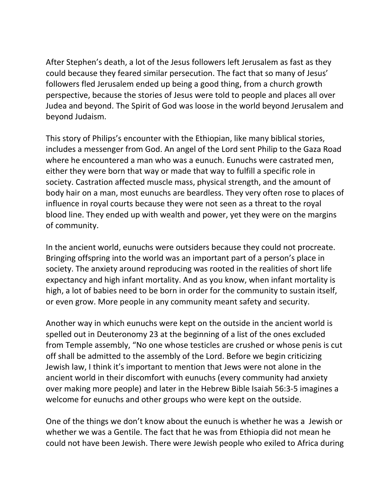After Stephen's death, a lot of the Jesus followers left Jerusalem as fast as they could because they feared similar persecution. The fact that so many of Jesus' followers fled Jerusalem ended up being a good thing, from a church growth perspective, because the stories of Jesus were told to people and places all over Judea and beyond. The Spirit of God was loose in the world beyond Jerusalem and beyond Judaism.

This story of Philips's encounter with the Ethiopian, like many biblical stories, includes a messenger from God. An angel of the Lord sent Philip to the Gaza Road where he encountered a man who was a eunuch. Eunuchs were castrated men, either they were born that way or made that way to fulfill a specific role in society. Castration affected muscle mass, physical strength, and the amount of body hair on a man, most eunuchs are beardless. They very often rose to places of influence in royal courts because they were not seen as a threat to the royal blood line. They ended up with wealth and power, yet they were on the margins of community.

In the ancient world, eunuchs were outsiders because they could not procreate. Bringing offspring into the world was an important part of a person's place in society. The anxiety around reproducing was rooted in the realities of short life expectancy and high infant mortality. And as you know, when infant mortality is high, a lot of babies need to be born in order for the community to sustain itself, or even grow. More people in any community meant safety and security.

Another way in which eunuchs were kept on the outside in the ancient world is spelled out in Deuteronomy 23 at the beginning of a list of the ones excluded from Temple assembly, "No one whose testicles are crushed or whose penis is cut off shall be admitted to the assembly of the Lord. Before we begin criticizing Jewish law, I think it's important to mention that Jews were not alone in the ancient world in their discomfort with eunuchs (every community had anxiety over making more people) and later in the Hebrew Bible Isaiah 56:3-5 imagines a welcome for eunuchs and other groups who were kept on the outside.

One of the things we don't know about the eunuch is whether he was a Jewish or whether we was a Gentile. The fact that he was from Ethiopia did not mean he could not have been Jewish. There were Jewish people who exiled to Africa during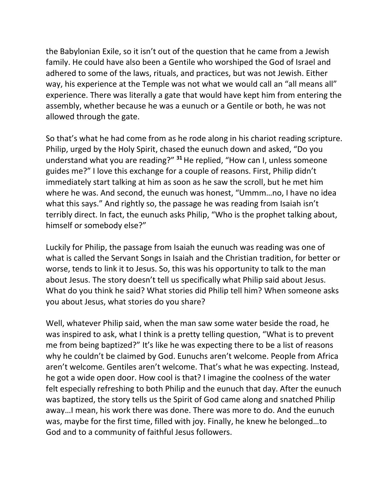the Babylonian Exile, so it isn't out of the question that he came from a Jewish family. He could have also been a Gentile who worshiped the God of Israel and adhered to some of the laws, rituals, and practices, but was not Jewish. Either way, his experience at the Temple was not what we would call an "all means all" experience. There was literally a gate that would have kept him from entering the assembly, whether because he was a eunuch or a Gentile or both, he was not allowed through the gate.

So that's what he had come from as he rode along in his chariot reading scripture. Philip, urged by the Holy Spirit, chased the eunuch down and asked, "Do you understand what you are reading?" **<sup>31</sup>**He replied, "How can I, unless someone guides me?" I love this exchange for a couple of reasons. First, Philip didn't immediately start talking at him as soon as he saw the scroll, but he met him where he was. And second, the eunuch was honest, "Ummm…no, I have no idea what this says." And rightly so, the passage he was reading from Isaiah isn't terribly direct. In fact, the eunuch asks Philip, "Who is the prophet talking about, himself or somebody else?"

Luckily for Philip, the passage from Isaiah the eunuch was reading was one of what is called the Servant Songs in Isaiah and the Christian tradition, for better or worse, tends to link it to Jesus. So, this was his opportunity to talk to the man about Jesus. The story doesn't tell us specifically what Philip said about Jesus. What do you think he said? What stories did Philip tell him? When someone asks you about Jesus, what stories do you share?

Well, whatever Philip said, when the man saw some water beside the road, he was inspired to ask, what I think is a pretty telling question, "What is to prevent me from being baptized?" It's like he was expecting there to be a list of reasons why he couldn't be claimed by God. Eunuchs aren't welcome. People from Africa aren't welcome. Gentiles aren't welcome. That's what he was expecting. Instead, he got a wide open door. How cool is that? I imagine the coolness of the water felt especially refreshing to both Philip and the eunuch that day. After the eunuch was baptized, the story tells us the Spirit of God came along and snatched Philip away…I mean, his work there was done. There was more to do. And the eunuch was, maybe for the first time, filled with joy. Finally, he knew he belonged…to God and to a community of faithful Jesus followers.